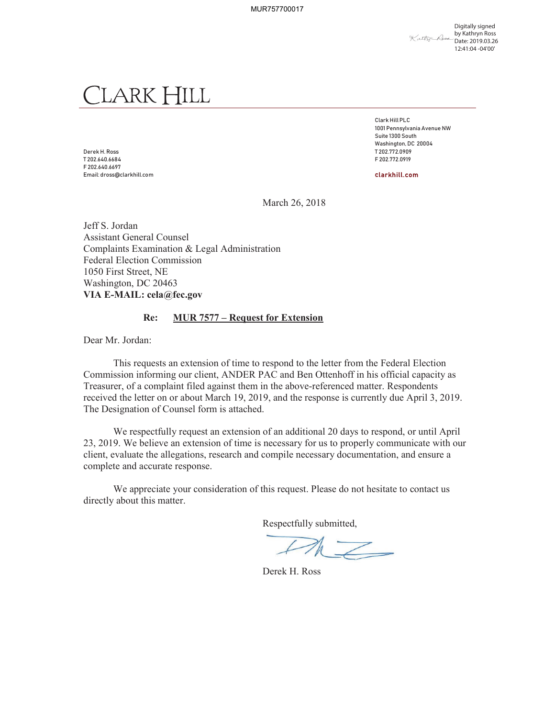MUR757700017

Digitally signed by Kathryn Ross Xathy Room Date: 2019.03.26 12:41:04 -04'00'

## LARK HILL

Derek H. Ross T 202.772.0909 T 202.640.6684 F 202.772.0919 F 202.640.6697 Email: dross@clarkhill.com clarkhill.com

Clark Hill PLC 1001 Pennsylvania Avenue NW Suite 1300 South Washington, DC 20004

March 26, 2018

Jeff S. Jordan Assistant General Counsel Complaints Examination & Legal Administration Federal Election Commission 1050 First Street, NE Washington, DC 20463 **VIA E-MAIL: cela@fec.gov**

## **Re: MUR 7577 – Request for Extension**

Dear Mr. Jordan:

This requests an extension of time to respond to the letter from the Federal Election Commission informing our client, ANDER PAC and Ben Ottenhoff in his official capacity as Treasurer, of a complaint filed against them in the above-referenced matter. Respondents received the letter on or about March 19, 2019, and the response is currently due April 3, 2019. The Designation of Counsel form is attached.

We respectfully request an extension of an additional 20 days to respond, or until April 23, 2019. We believe an extension of time is necessary for us to properly communicate with our client, evaluate the allegations, research and compile necessary documentation, and ensure a complete and accurate response.

We appreciate your consideration of this request. Please do not hesitate to contact us directly about this matter.

Respectfully submitted,

 $\mathbb{Z}$ 

Derek H. Ross